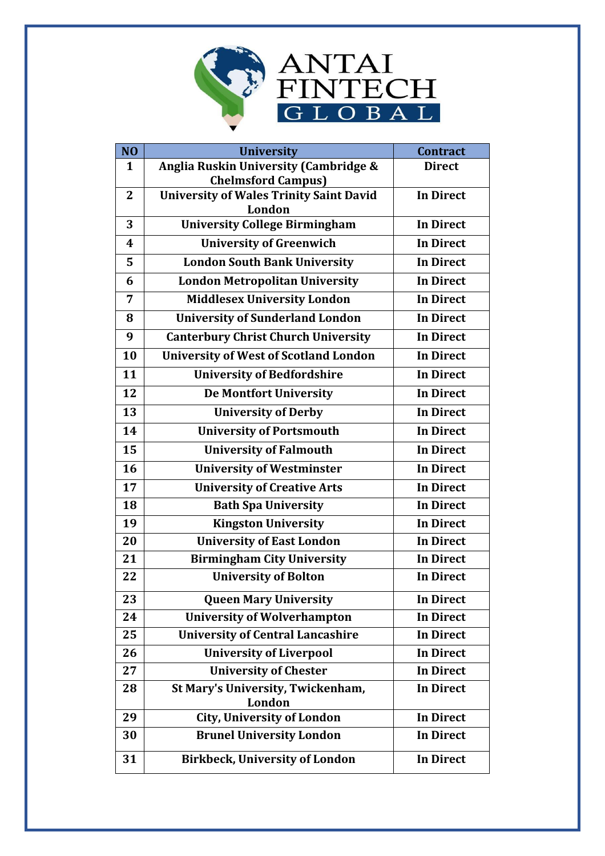

| N <sub>O</sub>   | <b>University</b>                                        | <b>Contract</b>  |
|------------------|----------------------------------------------------------|------------------|
| 1                | Anglia Ruskin University (Cambridge &                    | <b>Direct</b>    |
|                  | <b>Chelmsford Campus)</b>                                |                  |
| $\mathbf{2}$     | <b>University of Wales Trinity Saint David</b><br>London | <b>In Direct</b> |
| 3                | <b>University College Birmingham</b>                     | <b>In Direct</b> |
| $\boldsymbol{4}$ | <b>University of Greenwich</b>                           | <b>In Direct</b> |
| 5                | <b>London South Bank University</b>                      | <b>In Direct</b> |
| 6                | <b>London Metropolitan University</b>                    | <b>In Direct</b> |
| 7                | <b>Middlesex University London</b>                       | <b>In Direct</b> |
| 8                | <b>University of Sunderland London</b>                   | <b>In Direct</b> |
| 9                | <b>Canterbury Christ Church University</b>               | <b>In Direct</b> |
| 10               | <b>University of West of Scotland London</b>             | <b>In Direct</b> |
| 11               | <b>University of Bedfordshire</b>                        | <b>In Direct</b> |
| 12               | <b>De Montfort University</b>                            | <b>In Direct</b> |
| 13               | <b>University of Derby</b>                               | <b>In Direct</b> |
| 14               | <b>University of Portsmouth</b>                          | <b>In Direct</b> |
| 15               | <b>University of Falmouth</b>                            | <b>In Direct</b> |
| 16               | <b>University of Westminster</b>                         | <b>In Direct</b> |
| 17               | <b>University of Creative Arts</b>                       | <b>In Direct</b> |
| 18               | <b>Bath Spa University</b>                               | <b>In Direct</b> |
| 19               | <b>Kingston University</b>                               | <b>In Direct</b> |
| 20               | <b>University of East London</b>                         | <b>In Direct</b> |
| 21               | <b>Birmingham City University</b>                        | <b>In Direct</b> |
| 22               | <b>University of Bolton</b>                              | <b>In Direct</b> |
| 23               | <b>Queen Mary University</b>                             | <b>In Direct</b> |
| 24               | <b>University of Wolverhampton</b>                       | <b>In Direct</b> |
| 25               | <b>University of Central Lancashire</b>                  | <b>In Direct</b> |
| 26               | <b>University of Liverpool</b>                           | <b>In Direct</b> |
| 27               | <b>University of Chester</b>                             | <b>In Direct</b> |
| 28               | St Mary's University, Twickenham,<br>London              | <b>In Direct</b> |
| 29               | <b>City, University of London</b>                        | <b>In Direct</b> |
| 30               | <b>Brunel University London</b>                          | <b>In Direct</b> |
| 31               | <b>Birkbeck, University of London</b>                    | <b>In Direct</b> |